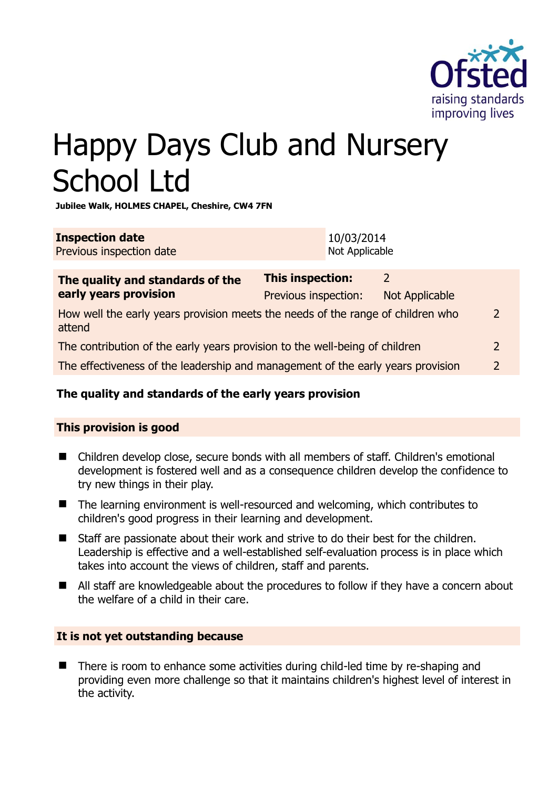

# Happy Days Club and Nursery School Ltd

**Jubilee Walk, HOLMES CHAPEL, Cheshire, CW4 7FN** 

| <b>Inspection date</b>   | 10/03/2014     |
|--------------------------|----------------|
| Previous inspection date | Not Applicable |

| The quality and standards of the<br>early years provision                                                  | <b>This inspection:</b> | $\mathcal{L}$  |               |
|------------------------------------------------------------------------------------------------------------|-------------------------|----------------|---------------|
|                                                                                                            | Previous inspection:    | Not Applicable |               |
| How well the early years provision meets the needs of the range of children who<br>$\mathcal{L}$<br>attend |                         |                |               |
| The contribution of the early years provision to the well-being of children                                |                         | $\mathcal{L}$  |               |
| The effectiveness of the leadership and management of the early years provision                            |                         |                | $\mathcal{D}$ |
|                                                                                                            |                         |                |               |

# **The quality and standards of the early years provision**

# **This provision is good**

- Children develop close, secure bonds with all members of staff. Children's emotional development is fostered well and as a consequence children develop the confidence to try new things in their play.
- The learning environment is well-resourced and welcoming, which contributes to children's good progress in their learning and development.
- Staff are passionate about their work and strive to do their best for the children. Leadership is effective and a well-established self-evaluation process is in place which takes into account the views of children, staff and parents.
- All staff are knowledgeable about the procedures to follow if they have a concern about the welfare of a child in their care.

# **It is not yet outstanding because**

■ There is room to enhance some activities during child-led time by re-shaping and providing even more challenge so that it maintains children's highest level of interest in the activity.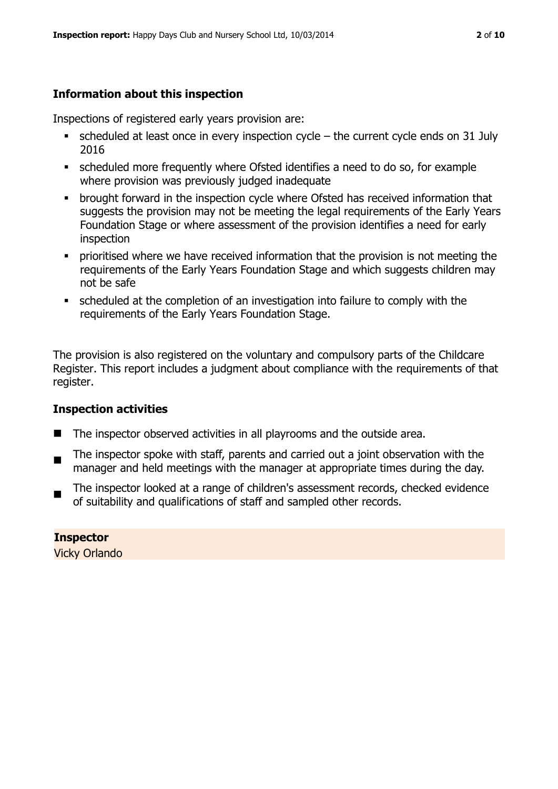# **Information about this inspection**

Inspections of registered early years provision are:

- scheduled at least once in every inspection cycle the current cycle ends on 31 July 2016
- scheduled more frequently where Ofsted identifies a need to do so, for example where provision was previously judged inadequate
- **•** brought forward in the inspection cycle where Ofsted has received information that suggests the provision may not be meeting the legal requirements of the Early Years Foundation Stage or where assessment of the provision identifies a need for early inspection
- **•** prioritised where we have received information that the provision is not meeting the requirements of the Early Years Foundation Stage and which suggests children may not be safe
- scheduled at the completion of an investigation into failure to comply with the requirements of the Early Years Foundation Stage.

The provision is also registered on the voluntary and compulsory parts of the Childcare Register. This report includes a judgment about compliance with the requirements of that register.

# **Inspection activities**

- The inspector observed activities in all playrooms and the outside area.
- ш The inspector spoke with staff, parents and carried out a joint observation with the manager and held meetings with the manager at appropriate times during the day.
- The inspector looked at a range of children's assessment records, checked evidence of suitability and qualifications of staff and sampled other records.

**Inspector**  Vicky Orlando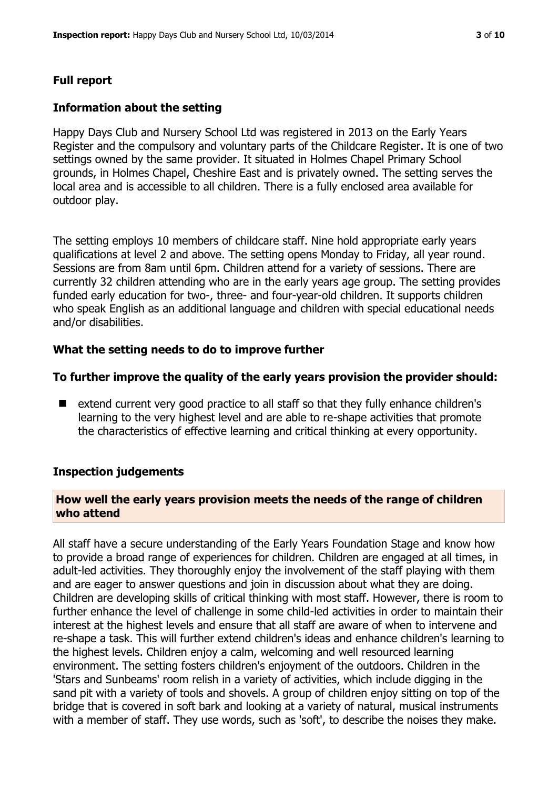# **Full report**

#### **Information about the setting**

Happy Days Club and Nursery School Ltd was registered in 2013 on the Early Years Register and the compulsory and voluntary parts of the Childcare Register. It is one of two settings owned by the same provider. It situated in Holmes Chapel Primary School grounds, in Holmes Chapel, Cheshire East and is privately owned. The setting serves the local area and is accessible to all children. There is a fully enclosed area available for outdoor play.

The setting employs 10 members of childcare staff. Nine hold appropriate early years qualifications at level 2 and above. The setting opens Monday to Friday, all year round. Sessions are from 8am until 6pm. Children attend for a variety of sessions. There are currently 32 children attending who are in the early years age group. The setting provides funded early education for two-, three- and four-year-old children. It supports children who speak English as an additional language and children with special educational needs and/or disabilities.

#### **What the setting needs to do to improve further**

#### **To further improve the quality of the early years provision the provider should:**

■ extend current very good practice to all staff so that they fully enhance children's learning to the very highest level and are able to re-shape activities that promote the characteristics of effective learning and critical thinking at every opportunity.

#### **Inspection judgements**

#### **How well the early years provision meets the needs of the range of children who attend**

All staff have a secure understanding of the Early Years Foundation Stage and know how to provide a broad range of experiences for children. Children are engaged at all times, in adult-led activities. They thoroughly enjoy the involvement of the staff playing with them and are eager to answer questions and join in discussion about what they are doing. Children are developing skills of critical thinking with most staff. However, there is room to further enhance the level of challenge in some child-led activities in order to maintain their interest at the highest levels and ensure that all staff are aware of when to intervene and re-shape a task. This will further extend children's ideas and enhance children's learning to the highest levels. Children enjoy a calm, welcoming and well resourced learning environment. The setting fosters children's enjoyment of the outdoors. Children in the 'Stars and Sunbeams' room relish in a variety of activities, which include digging in the sand pit with a variety of tools and shovels. A group of children enjoy sitting on top of the bridge that is covered in soft bark and looking at a variety of natural, musical instruments with a member of staff. They use words, such as 'soft', to describe the noises they make.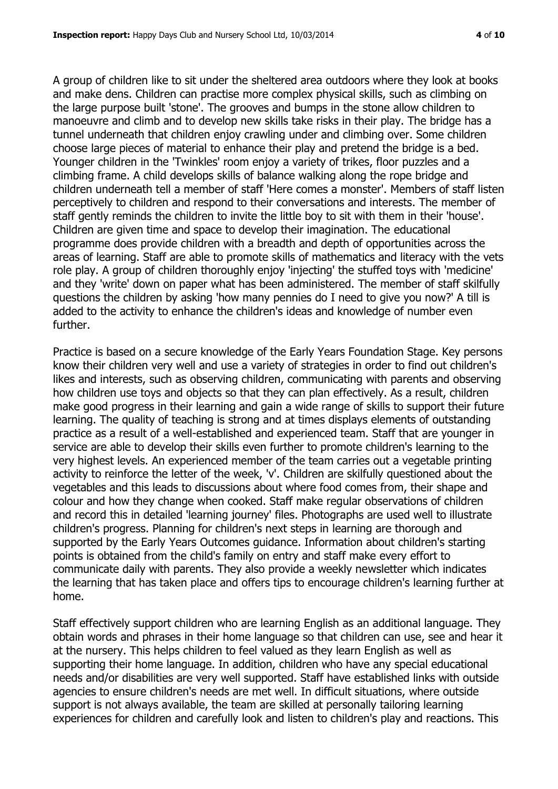A group of children like to sit under the sheltered area outdoors where they look at books and make dens. Children can practise more complex physical skills, such as climbing on the large purpose built 'stone'. The grooves and bumps in the stone allow children to manoeuvre and climb and to develop new skills take risks in their play. The bridge has a tunnel underneath that children enjoy crawling under and climbing over. Some children choose large pieces of material to enhance their play and pretend the bridge is a bed. Younger children in the 'Twinkles' room enjoy a variety of trikes, floor puzzles and a climbing frame. A child develops skills of balance walking along the rope bridge and children underneath tell a member of staff 'Here comes a monster'. Members of staff listen perceptively to children and respond to their conversations and interests. The member of staff gently reminds the children to invite the little boy to sit with them in their 'house'. Children are given time and space to develop their imagination. The educational programme does provide children with a breadth and depth of opportunities across the areas of learning. Staff are able to promote skills of mathematics and literacy with the vets role play. A group of children thoroughly enjoy 'injecting' the stuffed toys with 'medicine' and they 'write' down on paper what has been administered. The member of staff skilfully questions the children by asking 'how many pennies do I need to give you now?' A till is added to the activity to enhance the children's ideas and knowledge of number even further.

Practice is based on a secure knowledge of the Early Years Foundation Stage. Key persons know their children very well and use a variety of strategies in order to find out children's likes and interests, such as observing children, communicating with parents and observing how children use toys and objects so that they can plan effectively. As a result, children make good progress in their learning and gain a wide range of skills to support their future learning. The quality of teaching is strong and at times displays elements of outstanding practice as a result of a well-established and experienced team. Staff that are younger in service are able to develop their skills even further to promote children's learning to the very highest levels. An experienced member of the team carries out a vegetable printing activity to reinforce the letter of the week, 'v'. Children are skilfully questioned about the vegetables and this leads to discussions about where food comes from, their shape and colour and how they change when cooked. Staff make regular observations of children and record this in detailed 'learning journey' files. Photographs are used well to illustrate children's progress. Planning for children's next steps in learning are thorough and supported by the Early Years Outcomes guidance. Information about children's starting points is obtained from the child's family on entry and staff make every effort to communicate daily with parents. They also provide a weekly newsletter which indicates the learning that has taken place and offers tips to encourage children's learning further at home.

Staff effectively support children who are learning English as an additional language. They obtain words and phrases in their home language so that children can use, see and hear it at the nursery. This helps children to feel valued as they learn English as well as supporting their home language. In addition, children who have any special educational needs and/or disabilities are very well supported. Staff have established links with outside agencies to ensure children's needs are met well. In difficult situations, where outside support is not always available, the team are skilled at personally tailoring learning experiences for children and carefully look and listen to children's play and reactions. This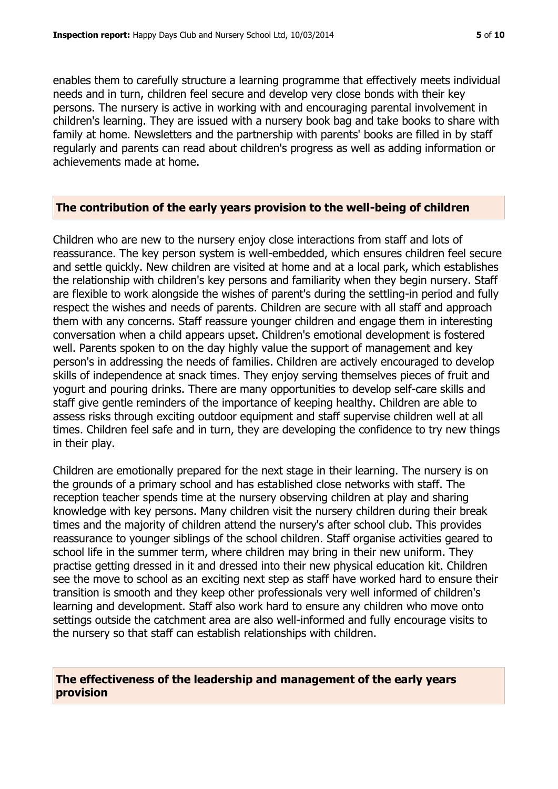enables them to carefully structure a learning programme that effectively meets individual needs and in turn, children feel secure and develop very close bonds with their key persons. The nursery is active in working with and encouraging parental involvement in children's learning. They are issued with a nursery book bag and take books to share with family at home. Newsletters and the partnership with parents' books are filled in by staff regularly and parents can read about children's progress as well as adding information or achievements made at home.

#### **The contribution of the early years provision to the well-being of children**

Children who are new to the nursery enjoy close interactions from staff and lots of reassurance. The key person system is well-embedded, which ensures children feel secure and settle quickly. New children are visited at home and at a local park, which establishes the relationship with children's key persons and familiarity when they begin nursery. Staff are flexible to work alongside the wishes of parent's during the settling-in period and fully respect the wishes and needs of parents. Children are secure with all staff and approach them with any concerns. Staff reassure younger children and engage them in interesting conversation when a child appears upset. Children's emotional development is fostered well. Parents spoken to on the day highly value the support of management and key person's in addressing the needs of families. Children are actively encouraged to develop skills of independence at snack times. They enjoy serving themselves pieces of fruit and yogurt and pouring drinks. There are many opportunities to develop self-care skills and staff give gentle reminders of the importance of keeping healthy. Children are able to assess risks through exciting outdoor equipment and staff supervise children well at all times. Children feel safe and in turn, they are developing the confidence to try new things in their play.

Children are emotionally prepared for the next stage in their learning. The nursery is on the grounds of a primary school and has established close networks with staff. The reception teacher spends time at the nursery observing children at play and sharing knowledge with key persons. Many children visit the nursery children during their break times and the majority of children attend the nursery's after school club. This provides reassurance to younger siblings of the school children. Staff organise activities geared to school life in the summer term, where children may bring in their new uniform. They practise getting dressed in it and dressed into their new physical education kit. Children see the move to school as an exciting next step as staff have worked hard to ensure their transition is smooth and they keep other professionals very well informed of children's learning and development. Staff also work hard to ensure any children who move onto settings outside the catchment area are also well-informed and fully encourage visits to the nursery so that staff can establish relationships with children.

#### **The effectiveness of the leadership and management of the early years provision**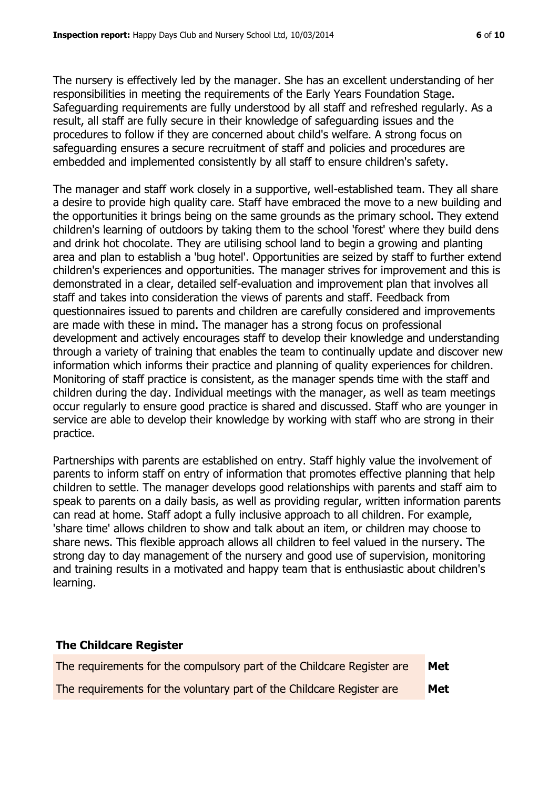The nursery is effectively led by the manager. She has an excellent understanding of her responsibilities in meeting the requirements of the Early Years Foundation Stage. Safeguarding requirements are fully understood by all staff and refreshed regularly. As a result, all staff are fully secure in their knowledge of safeguarding issues and the procedures to follow if they are concerned about child's welfare. A strong focus on safeguarding ensures a secure recruitment of staff and policies and procedures are embedded and implemented consistently by all staff to ensure children's safety.

The manager and staff work closely in a supportive, well-established team. They all share a desire to provide high quality care. Staff have embraced the move to a new building and the opportunities it brings being on the same grounds as the primary school. They extend children's learning of outdoors by taking them to the school 'forest' where they build dens and drink hot chocolate. They are utilising school land to begin a growing and planting area and plan to establish a 'bug hotel'. Opportunities are seized by staff to further extend children's experiences and opportunities. The manager strives for improvement and this is demonstrated in a clear, detailed self-evaluation and improvement plan that involves all staff and takes into consideration the views of parents and staff. Feedback from questionnaires issued to parents and children are carefully considered and improvements are made with these in mind. The manager has a strong focus on professional development and actively encourages staff to develop their knowledge and understanding through a variety of training that enables the team to continually update and discover new information which informs their practice and planning of quality experiences for children. Monitoring of staff practice is consistent, as the manager spends time with the staff and children during the day. Individual meetings with the manager, as well as team meetings occur regularly to ensure good practice is shared and discussed. Staff who are younger in service are able to develop their knowledge by working with staff who are strong in their practice.

Partnerships with parents are established on entry. Staff highly value the involvement of parents to inform staff on entry of information that promotes effective planning that help children to settle. The manager develops good relationships with parents and staff aim to speak to parents on a daily basis, as well as providing regular, written information parents can read at home. Staff adopt a fully inclusive approach to all children. For example, 'share time' allows children to show and talk about an item, or children may choose to share news. This flexible approach allows all children to feel valued in the nursery. The strong day to day management of the nursery and good use of supervision, monitoring and training results in a motivated and happy team that is enthusiastic about children's learning.

#### **The Childcare Register**

| The requirements for the compulsory part of the Childcare Register are | Met |
|------------------------------------------------------------------------|-----|
| The requirements for the voluntary part of the Childcare Register are  | Met |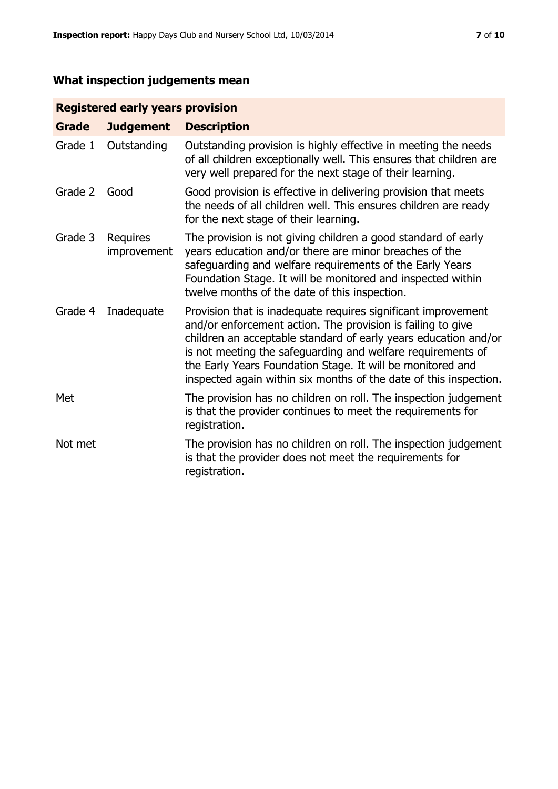# **What inspection judgements mean**

# **Registered early years provision**

| <b>Grade</b> | <b>Judgement</b>        | <b>Description</b>                                                                                                                                                                                                                                                                                                                                                                                |
|--------------|-------------------------|---------------------------------------------------------------------------------------------------------------------------------------------------------------------------------------------------------------------------------------------------------------------------------------------------------------------------------------------------------------------------------------------------|
| Grade 1      | Outstanding             | Outstanding provision is highly effective in meeting the needs<br>of all children exceptionally well. This ensures that children are<br>very well prepared for the next stage of their learning.                                                                                                                                                                                                  |
| Grade 2      | Good                    | Good provision is effective in delivering provision that meets<br>the needs of all children well. This ensures children are ready<br>for the next stage of their learning.                                                                                                                                                                                                                        |
| Grade 3      | Requires<br>improvement | The provision is not giving children a good standard of early<br>years education and/or there are minor breaches of the<br>safeguarding and welfare requirements of the Early Years<br>Foundation Stage. It will be monitored and inspected within<br>twelve months of the date of this inspection.                                                                                               |
| Grade 4      | Inadequate              | Provision that is inadequate requires significant improvement<br>and/or enforcement action. The provision is failing to give<br>children an acceptable standard of early years education and/or<br>is not meeting the safeguarding and welfare requirements of<br>the Early Years Foundation Stage. It will be monitored and<br>inspected again within six months of the date of this inspection. |
| Met          |                         | The provision has no children on roll. The inspection judgement<br>is that the provider continues to meet the requirements for<br>registration.                                                                                                                                                                                                                                                   |
| Not met      |                         | The provision has no children on roll. The inspection judgement<br>is that the provider does not meet the requirements for<br>registration.                                                                                                                                                                                                                                                       |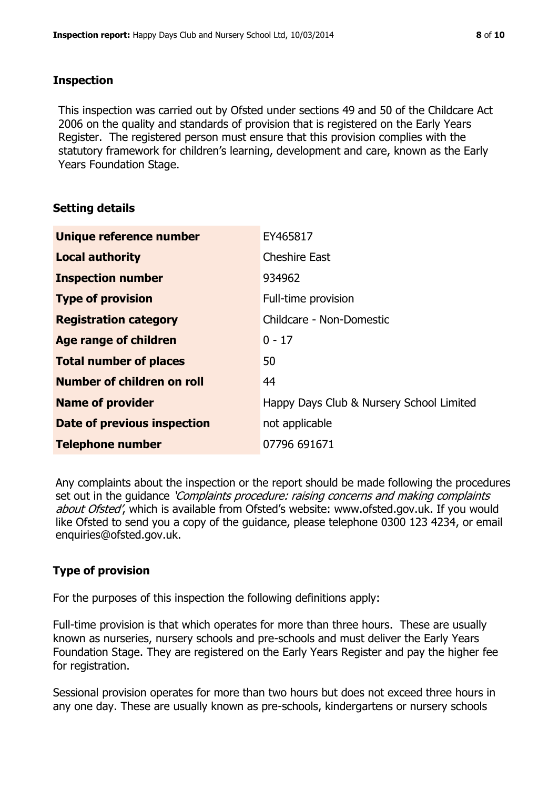#### **Inspection**

This inspection was carried out by Ofsted under sections 49 and 50 of the Childcare Act 2006 on the quality and standards of provision that is registered on the Early Years Register. The registered person must ensure that this provision complies with the statutory framework for children's learning, development and care, known as the Early Years Foundation Stage.

#### **Setting details**

| Unique reference number       | EY465817                                 |
|-------------------------------|------------------------------------------|
| <b>Local authority</b>        | <b>Cheshire East</b>                     |
| <b>Inspection number</b>      | 934962                                   |
| <b>Type of provision</b>      | Full-time provision                      |
| <b>Registration category</b>  | Childcare - Non-Domestic                 |
| Age range of children         | $0 - 17$                                 |
| <b>Total number of places</b> | 50                                       |
| Number of children on roll    | 44                                       |
| <b>Name of provider</b>       | Happy Days Club & Nursery School Limited |
| Date of previous inspection   | not applicable                           |
| <b>Telephone number</b>       | 07796 691671                             |

Any complaints about the inspection or the report should be made following the procedures set out in the guidance *'Complaints procedure: raising concerns and making complaints* about Ofsted', which is available from Ofsted's website: www.ofsted.gov.uk. If you would like Ofsted to send you a copy of the guidance, please telephone 0300 123 4234, or email enquiries@ofsted.gov.uk.

# **Type of provision**

For the purposes of this inspection the following definitions apply:

Full-time provision is that which operates for more than three hours. These are usually known as nurseries, nursery schools and pre-schools and must deliver the Early Years Foundation Stage. They are registered on the Early Years Register and pay the higher fee for registration.

Sessional provision operates for more than two hours but does not exceed three hours in any one day. These are usually known as pre-schools, kindergartens or nursery schools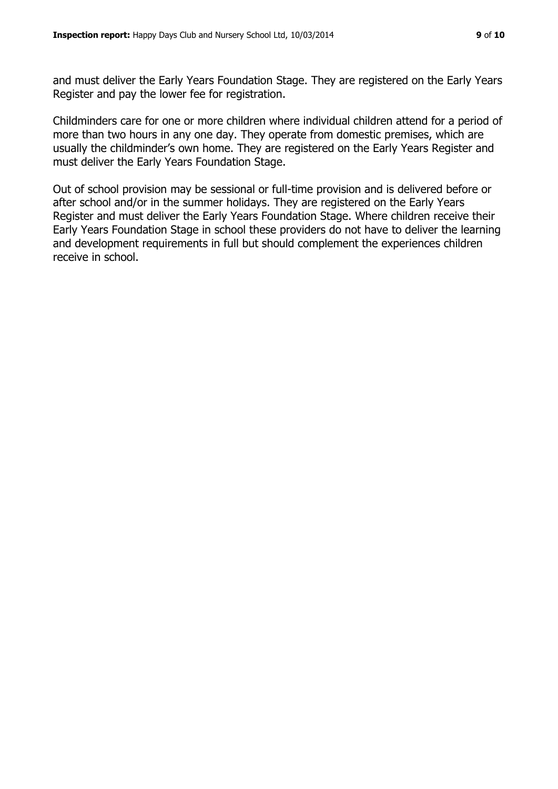and must deliver the Early Years Foundation Stage. They are registered on the Early Years Register and pay the lower fee for registration.

Childminders care for one or more children where individual children attend for a period of more than two hours in any one day. They operate from domestic premises, which are usually the childminder's own home. They are registered on the Early Years Register and must deliver the Early Years Foundation Stage.

Out of school provision may be sessional or full-time provision and is delivered before or after school and/or in the summer holidays. They are registered on the Early Years Register and must deliver the Early Years Foundation Stage. Where children receive their Early Years Foundation Stage in school these providers do not have to deliver the learning and development requirements in full but should complement the experiences children receive in school.